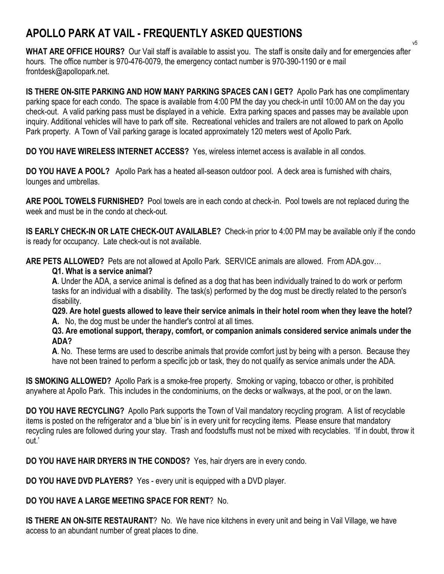## **APOLLO PARK AT VAIL - FREQUENTLY ASKED QUESTIONS**

**WHAT ARE OFFICE HOURS?** Our Vail staff is available to assist you. The staff is onsite daily and for emergencies after hours. The office number is 970-476-0079, the emergency contact number is 970-390-1190 or e mail frontdesk@apollopark.net.

**IS THERE ON-SITE PARKING AND HOW MANY PARKING SPACES CAN I GET?** Apollo Park has one complimentary parking space for each condo. The space is available from 4:00 PM the day you check-in until 10:00 AM on the day you check-out. A valid parking pass must be displayed in a vehicle. Extra parking spaces and passes may be available upon inquiry. Additional vehicles will have to park off site. Recreational vehicles and trailers are not allowed to park on Apollo Park property. A Town of Vail parking garage is located approximately 120 meters west of Apollo Park.

**DO YOU HAVE WIRELESS INTERNET ACCESS?** Yes, wireless internet access is available in all condos.

**DO YOU HAVE A POOL?** Apollo Park has a heated all-season outdoor pool. A deck area is furnished with chairs, lounges and umbrellas.

**ARE POOL TOWELS FURNISHED?** Pool towels are in each condo at check-in. Pool towels are not replaced during the week and must be in the condo at check-out.

**IS EARLY CHECK-IN OR LATE CHECK-OUT AVAILABLE?** Check-in prior to 4:00 PM may be available only if the condo is ready for occupancy. Late check-out is not available.

**ARE PETS ALLOWED?** Pets are not allowed at Apollo Park. SERVICE animals are allowed. From ADA.gov…

## **Q1. What is a service animal?**

**A**. Under the ADA, a service animal is defined as a dog that has been individually trained to do work or perform tasks for an individual with a disability. The task(s) performed by the dog must be directly related to the person's disability.

**Q29. Are hotel guests allowed to leave their service animals in their hotel room when they leave the hotel? A.** No, the dog must be under the handler's control at all times.

**Q3. Are emotional support, therapy, comfort, or companion animals considered service animals under the ADA?**

**A**. No. These terms are used to describe animals that provide comfort just by being with a person. Because they have not been trained to perform a specific job or task, they do not qualify as service animals under the ADA.

**IS SMOKING ALLOWED?** Apollo Park is a smoke-free property. Smoking or vaping, tobacco or other, is prohibited anywhere at Apollo Park. This includes in the condominiums, on the decks or walkways, at the pool, or on the lawn.

**DO YOU HAVE RECYCLING?** Apollo Park supports the Town of Vail mandatory recycling program. A list of recyclable items is posted on the refrigerator and a 'blue bin' is in every unit for recycling items. Please ensure that mandatory recycling rules are followed during your stay. Trash and foodstuffs must not be mixed with recyclables. 'If in doubt, throw it out.'

**DO YOU HAVE HAIR DRYERS IN THE CONDOS?** Yes, hair dryers are in every condo.

**DO YOU HAVE DVD PLAYERS?** Yes - every unit is equipped with a DVD player.

## **DO YOU HAVE A LARGE MEETING SPACE FOR RENT**? No.

**IS THERE AN ON-SITE RESTAURANT**? No. We have nice kitchens in every unit and being in Vail Village, we have access to an abundant number of great places to dine.